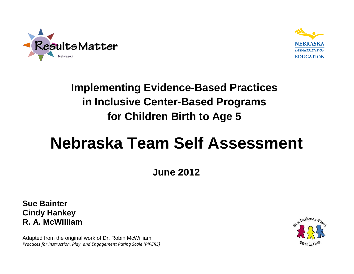



## **Implementing Evidence-Based Practices in Inclusive Center-Based Programs for Children Birth to Age 5**

# **Nebraska Team Self Assessment**

**June 2012**

**Sue Bainter Cindy Hankey R. A. McWilliam**

Adapted from the original work of Dr. Robin McWilliam *Practices for Instruction, Play, and Engagement Rating Scale (PIPERS)*

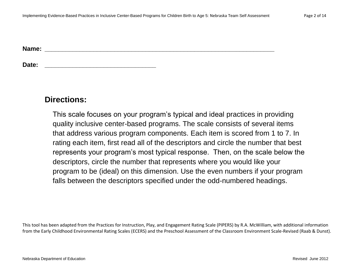**Name: \_\_\_\_\_\_\_\_\_\_\_\_\_\_\_\_\_\_\_\_\_\_\_\_\_\_\_\_\_\_\_\_\_\_\_\_\_\_\_\_\_\_\_\_\_\_\_\_\_\_\_\_\_\_\_\_\_\_\_\_\_\_\_\_\_\_**

**Date: \_\_\_\_\_\_\_\_\_\_\_\_\_\_\_\_\_\_\_\_\_\_\_\_\_\_\_\_\_\_\_\_**

#### **Directions:**

This scale focuses on your program's typical and ideal practices in providing quality inclusive center-based programs. The scale consists of several items that address various program components. Each item is scored from 1 to 7. In rating each item, first read all of the descriptors and circle the number that best represents your program's most typical response. Then, on the scale below the descriptors, circle the number that represents where you would like your program to be (ideal) on this dimension. Use the even numbers if your program falls between the descriptors specified under the odd-numbered headings.

This tool has been adapted from the Practices for Instruction, Play, and Engagement Rating Scale (PIPERS) by R.A. McWilliam, with additional information from the Early Childhood Environmental Rating Scales (ECERS) and the Preschool Assessment of the Classroom Environment Scale-Revised (Raab & Dunst).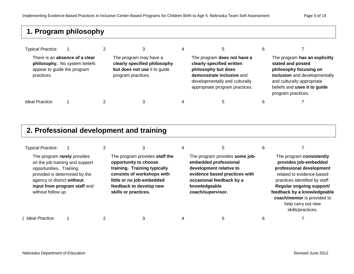#### **1. Program philosophy**

| <b>Typical Practice:</b>                  |                                                                 |                                                                                                              | 5                                                                                                                                                                                | 6 |                                                                                                                                                                                                   |
|-------------------------------------------|-----------------------------------------------------------------|--------------------------------------------------------------------------------------------------------------|----------------------------------------------------------------------------------------------------------------------------------------------------------------------------------|---|---------------------------------------------------------------------------------------------------------------------------------------------------------------------------------------------------|
| appear to guide the program<br>practices. | There is an absence of a clear<br>philosophy. No system beliefs | The program may have a<br>clearly specified philosophy<br>but does not use it to guide<br>program practices. | The program does not have a<br>clearly specified written<br>philosophy but does<br>demonstrate inclusive and<br>developmentally and culturally<br>appropriate program practices. |   | The program has an explicitly<br>stated and posted<br>philosophy focusing on<br>inclusion and developmentally<br>and culturally appropriate<br>beliefs and uses it to guide<br>program practices. |
| Ideal Practice:                           |                                                                 | З                                                                                                            | b                                                                                                                                                                                | 6 |                                                                                                                                                                                                   |

#### **2. Professional development and training**

| <b>Typical Practice:</b>                                                                                                                    |                                                                 |                                                                                                                                                                                                       |                                                                                                                                                                                       | 6 |                                                                                                                                                                                                                                                                                   |
|---------------------------------------------------------------------------------------------------------------------------------------------|-----------------------------------------------------------------|-------------------------------------------------------------------------------------------------------------------------------------------------------------------------------------------------------|---------------------------------------------------------------------------------------------------------------------------------------------------------------------------------------|---|-----------------------------------------------------------------------------------------------------------------------------------------------------------------------------------------------------------------------------------------------------------------------------------|
| The program rarely provides<br>opportunities. Training<br>provided is determined by the<br>agency or district without<br>without follow up. | on the job training and support<br>input from program staff and | The program provides staff the<br>opportunity to choose<br>training. Training typically<br>consists of workshops with<br>little or no job-embedded<br>feedback to develop new<br>skills or practices. | The program provides some job-<br>embedded professional<br>development relative to<br>evidence based practices with<br>occasional feedback by a<br>knowledgeable<br>coach/supervisor. |   | The program consistently<br>provides job-embedded<br>professional development<br>related to evidence-based<br>practices identified by staff.<br>Regular ongoing support/<br>feedback by a knowledgeable<br>coach/mentor is provided to<br>help carry out new<br>skills/practices. |
| Ideal Practice:                                                                                                                             |                                                                 |                                                                                                                                                                                                       | 5                                                                                                                                                                                     | 6 |                                                                                                                                                                                                                                                                                   |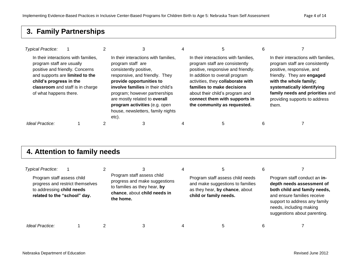#### **3. Family Partnerships**

| <b>Typical Practice:</b>                                                                                          |                                                                                                             |                                                                                                                                                                                                                                                                                                                                         | 5                                                                                                                                                                                                                                                                                                                    |                                                                                                                                                                                                                                                                        |
|-------------------------------------------------------------------------------------------------------------------|-------------------------------------------------------------------------------------------------------------|-----------------------------------------------------------------------------------------------------------------------------------------------------------------------------------------------------------------------------------------------------------------------------------------------------------------------------------------|----------------------------------------------------------------------------------------------------------------------------------------------------------------------------------------------------------------------------------------------------------------------------------------------------------------------|------------------------------------------------------------------------------------------------------------------------------------------------------------------------------------------------------------------------------------------------------------------------|
| program staff are usually<br>positive and friendly. Concerns<br>child's progress in the<br>of what happens there. | In their interactions with families,<br>and supports are limited to the<br>classroom and staff is in charge | In their interactions with families,<br>program staff are<br>consistently positive,<br>responsive, and friendly. They<br>provide opportunities to<br>involve families in their child's<br>program; however partnerships<br>are mostly related to overall<br>program activities (e.g. open<br>house, newsletters, family nights<br>etc). | In their interactions with families,<br>program staff are consistently<br>positive, responsive and friendly.<br>In addition to overall program<br>activities, they collaborate with<br>families to make decisions<br>about their child's program and<br>connect them with supports in<br>the community as requested. | In their interactions with families,<br>program staff are consistently<br>positive, responsive, and<br>friendly. They are engaged<br>with the whole family;<br>systematically identifying<br>family needs and priorities and<br>providing supports to address<br>them. |
| Ideal Practice:                                                                                                   |                                                                                                             |                                                                                                                                                                                                                                                                                                                                         | 5                                                                                                                                                                                                                                                                                                                    |                                                                                                                                                                                                                                                                        |

#### **4. Attention to family needs**

| <b>Typical Practice:</b><br>Program staff assess child<br>progress and restrict themselves<br>to addressing child needs<br>related to the "school" day. | Program staff assess child<br>progress and make suggestions<br>to families as they hear, by<br>chance, about child needs in<br>the home. | Program staff assess child needs<br>and make suggestions to families<br>as they hear, by chance, about<br>child or family needs. | 6 | Program staff conduct an in-<br>depth needs assessment of<br>both child and family needs,<br>and ensure families receive<br>support to address any family<br>needs, including making<br>suggestions about parenting. |
|---------------------------------------------------------------------------------------------------------------------------------------------------------|------------------------------------------------------------------------------------------------------------------------------------------|----------------------------------------------------------------------------------------------------------------------------------|---|----------------------------------------------------------------------------------------------------------------------------------------------------------------------------------------------------------------------|
| Ideal Practice:                                                                                                                                         |                                                                                                                                          |                                                                                                                                  | 6 |                                                                                                                                                                                                                      |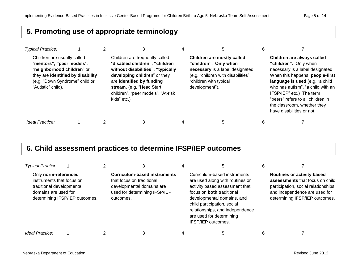#### **5. Promoting use of appropriate terminology**

| <b>Typical Practice:</b>                                                                                                                                                            |  | 3                                                                                                                                                                                                                                                    | 5                                                                                                                                                                         | 6 |                                                                                                                                                                                                                                                                                                                                 |
|-------------------------------------------------------------------------------------------------------------------------------------------------------------------------------------|--|------------------------------------------------------------------------------------------------------------------------------------------------------------------------------------------------------------------------------------------------------|---------------------------------------------------------------------------------------------------------------------------------------------------------------------------|---|---------------------------------------------------------------------------------------------------------------------------------------------------------------------------------------------------------------------------------------------------------------------------------------------------------------------------------|
| Children are usually called<br>"mentors", "peer models",<br>"neighborhood children" or<br>they are identified by disability<br>(e.g. "Down Syndrome" child or<br>"Autistic" child). |  | Children are frequently called<br>"disabled children", "children<br>without disabilities", "typically<br>developing children" or they<br>are identified by funding<br>stream, (e.g. "Head Start<br>children", "peer models", "At-risk<br>kids" etc.) | Children are mostly called<br>"children". Only when<br>necessary is a label designated<br>(e.g. "children with disabilities",<br>"children with typical<br>development"). |   | Children are always called<br>"children". Only when<br>necessary is a label designated.<br>When this happens, people-first<br>language is used (e.g. "a child<br>who has autism", "a child with an<br>IFSP/IEP" etc.) The term<br>"peers" refers to all children in<br>the classroom, whether they<br>have disabilities or not. |
| Ideal Practice:                                                                                                                                                                     |  |                                                                                                                                                                                                                                                      | 5                                                                                                                                                                         | b |                                                                                                                                                                                                                                                                                                                                 |

#### **6. Child assessment practices to determine IFSP/IEP outcomes**

| <b>Typical Practice:</b>                                                                               |                                |                                                                                                                                             |                                                                                                                                                                                                                                                                                         |                                                                                                                                                                                |
|--------------------------------------------------------------------------------------------------------|--------------------------------|---------------------------------------------------------------------------------------------------------------------------------------------|-----------------------------------------------------------------------------------------------------------------------------------------------------------------------------------------------------------------------------------------------------------------------------------------|--------------------------------------------------------------------------------------------------------------------------------------------------------------------------------|
| Only norm-referenced<br>instruments that focus on<br>traditional developmental<br>domains are used for | determining IFSP/IEP outcomes. | <b>Curriculum-based instruments</b><br>that focus on traditional<br>developmental domains are<br>used for determining IFSP/IEP<br>outcomes. | Curriculum-based instruments<br>are used along with routines or<br>activity based assessment that<br>focus on <b>both</b> traditional<br>developmental domains, and<br>child participation, social<br>relationships, and independence<br>are used for determining<br>IFSP/IEP outcomes. | <b>Routines or activity based</b><br>assessments that focus on child<br>participation, social relationships<br>and independence are used for<br>determining IFSP/IEP outcomes. |
| Ideal Practice:                                                                                        |                                |                                                                                                                                             |                                                                                                                                                                                                                                                                                         |                                                                                                                                                                                |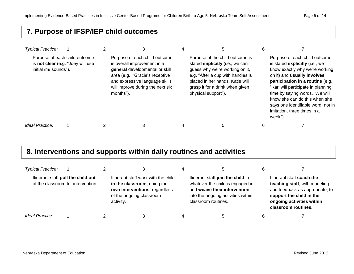#### **7. Purpose of IFSP/IEP child outcomes**

| <b>Typical Practice:</b>                                                                    |  |                                                                                                                                                                                                                     |                                                                                                                                                                                                                                               |                                                                                                                                                                                                                                                                                                                                                              |
|---------------------------------------------------------------------------------------------|--|---------------------------------------------------------------------------------------------------------------------------------------------------------------------------------------------------------------------|-----------------------------------------------------------------------------------------------------------------------------------------------------------------------------------------------------------------------------------------------|--------------------------------------------------------------------------------------------------------------------------------------------------------------------------------------------------------------------------------------------------------------------------------------------------------------------------------------------------------------|
| Purpose of each child outcome<br>is not clear (e.g. "Joey will use<br>initial /m/ sounds"). |  | Purpose of each child outcome<br>is overall improvement in a<br>general developmental or skill<br>area (e.g. "Gracie's receptive<br>and expressive language skills<br>will improve during the next six<br>months"). | Purpose of the child outcome is<br>stated <i>implicitly</i> (i.e., we can<br>guess why we're working on it,<br>e.g. "After a cup with handles is<br>placed in her hands, Katie will<br>grasp it for a drink when given<br>physical support"). | Purpose of each child outcome<br>is stated explicitly (i.e., we<br>know exactly why we're working<br>on it) and usually involves<br>participation in a routine (e.g.<br>"Kari will participate in planning<br>time by saying words. We will<br>know she can do this when she<br>says one identifiable word, not in<br>imitation, three times in a<br>week"). |
| Ideal Practice:                                                                             |  |                                                                                                                                                                                                                     |                                                                                                                                                                                                                                               |                                                                                                                                                                                                                                                                                                                                                              |

### **8. Interventions and supports within daily routines and activities**

| <b>Typical Practice:</b> |                                                                          |                                                                                                                                                | 5                                                                                                                                                                  |                                                                                                                                                                               |
|--------------------------|--------------------------------------------------------------------------|------------------------------------------------------------------------------------------------------------------------------------------------|--------------------------------------------------------------------------------------------------------------------------------------------------------------------|-------------------------------------------------------------------------------------------------------------------------------------------------------------------------------|
|                          | Itinerant staff pull the child out<br>of the classroom for intervention. | Itinerant staff work with the child<br>in the classroom, doing their<br>own interventions, regardless<br>of the ongoing classroom<br>activity. | Itinerant staff join the child in<br>whatever the child is engaged in<br>and weave their intervention<br>into the ongoing activities within<br>classroom routines. | Itinerant staff coach the<br>teaching staff, with modeling<br>and feedback as appropriate, to<br>support the child in the<br>ongoing activities within<br>classroom routines. |
| Ideal Practice:          |                                                                          |                                                                                                                                                | 5                                                                                                                                                                  |                                                                                                                                                                               |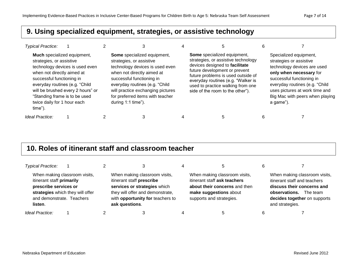#### **9. Using specialized equipment, strategies, or assistive technology**

| <b>Typical Practice:</b>                                                                                                                                                                                                         |                                                                      |                                                                                                                                                                                                                                                                                           |                                                                                                                                                                                                                                                                                            |   |                                                                                                                                                                                                                                                              |
|----------------------------------------------------------------------------------------------------------------------------------------------------------------------------------------------------------------------------------|----------------------------------------------------------------------|-------------------------------------------------------------------------------------------------------------------------------------------------------------------------------------------------------------------------------------------------------------------------------------------|--------------------------------------------------------------------------------------------------------------------------------------------------------------------------------------------------------------------------------------------------------------------------------------------|---|--------------------------------------------------------------------------------------------------------------------------------------------------------------------------------------------------------------------------------------------------------------|
| Much specialized equipment,<br>strategies, or assistive<br>when not directly aimed at<br>successful functioning in<br>everyday routines (e.g. "Child"<br>"Standing frame is to be used<br>twice daily for 1 hour each<br>time"). | technology devices is used even<br>will be brushed every 2 hours" or | Some specialized equipment,<br>strategies, or assistive<br>technology devices is used even<br>when not directly aimed at<br>successful functioning in<br>everyday routines (e.g. "Child"<br>will practice exchanging pictures<br>for preferred items with teacher<br>during $1:1$ time"). | Some specialized equipment,<br>strategies, or assistive technology<br>devices designed to facilitate<br>future development or prevent<br>future problems is used outside of<br>everyday routines (e.g. "Walker is<br>used to practice walking from one<br>side of the room to the other"). |   | Specialized equipment,<br>strategies or assistive<br>technology devices are used<br>only when necessary for<br>successful functioning in<br>everyday routines (e.g. "Child<br>uses pictures at work time and<br>Big Mac with peers when playing<br>a game"). |
| Ideal Practice:                                                                                                                                                                                                                  |                                                                      |                                                                                                                                                                                                                                                                                           |                                                                                                                                                                                                                                                                                            | 6 |                                                                                                                                                                                                                                                              |

#### **10. Roles of itinerant staff and classroom teacher**

| <b>Typical Practice:</b>                                                                   |                                                                   |                                                                                                                                                                                      | 4 |                                                                                                                                                      |                                                                                                                                                                             |
|--------------------------------------------------------------------------------------------|-------------------------------------------------------------------|--------------------------------------------------------------------------------------------------------------------------------------------------------------------------------------|---|------------------------------------------------------------------------------------------------------------------------------------------------------|-----------------------------------------------------------------------------------------------------------------------------------------------------------------------------|
| itinerant staff primarily<br>prescribe services or<br>and demonstrate. Teachers<br>listen. | When making classroom visits,<br>strategies which they will offer | When making classroom visits,<br>itinerant staff prescribe<br>services or strategies which<br>they will offer and demonstrate,<br>with opportunity for teachers to<br>ask questions. |   | When making classroom visits,<br>itinerant staff ask teachers<br>about their concerns and then<br>make suggestions about<br>supports and strategies. | When making classroom visits,<br>itinerant staff and teachers<br>discuss their concerns and<br>observations.<br>The team<br>decides together on supports<br>and strategies. |
| Ideal Practice:                                                                            |                                                                   |                                                                                                                                                                                      |   |                                                                                                                                                      |                                                                                                                                                                             |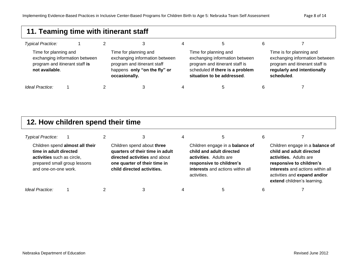#### **11. Teaming time with itinerant staff** *Typical Practice:* 1 2 3 4 5 6 7 Time for planning and exchanging information between program and itinerant staff **is not available**. Time for planning and exchanging information between program and itinerant staff happens **only "on the fly" or occasionally.** Time for planning and exchanging information between program and itinerant staff is scheduled **if there is a problem situation to be addressed**. Time is for planning and exchanging information between program and itinerant staff is **regularly and intentionally scheduled**.  *Ideal Practice:* 1 2 3 4 5 6 7

#### **12. How children spend their time**

| <b>Typical Practice:</b>                                                                                     |                                 |                            |                                                                                                                                |   | 5                                                                                                                                                                    |                                                                                                                                                                                                                      |
|--------------------------------------------------------------------------------------------------------------|---------------------------------|----------------------------|--------------------------------------------------------------------------------------------------------------------------------|---|----------------------------------------------------------------------------------------------------------------------------------------------------------------------|----------------------------------------------------------------------------------------------------------------------------------------------------------------------------------------------------------------------|
| time in adult directed<br>activities such as circle,<br>prepared small group lessons<br>and one-on-one work. | Children spend almost all their | child directed activities. | Children spend about three<br>quarters of their time in adult<br>directed activities and about<br>one quarter of their time in |   | Children engage in a balance of<br>child and adult directed<br>activities. Adults are<br>responsive to children's<br>interests and actions within all<br>activities. | Children engage in a balance of<br>child and adult directed<br>activities. Adults are<br>responsive to children's<br>interests and actions within all<br>activities and expand and/or<br>extend children's learning. |
| Ideal Practice:                                                                                              |                                 |                            |                                                                                                                                | 4 | 5                                                                                                                                                                    |                                                                                                                                                                                                                      |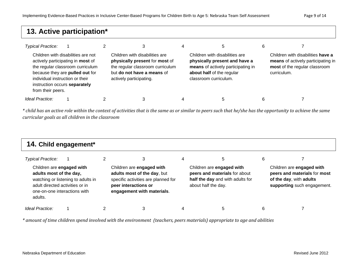#### **13. Active participation\***

| <b>Typical Practice:</b>                                                              |                                                                                                                                                |                                                                                                                                                               | 4 |                                                                                                                                                             | 6 |                                                                                                                         |
|---------------------------------------------------------------------------------------|------------------------------------------------------------------------------------------------------------------------------------------------|---------------------------------------------------------------------------------------------------------------------------------------------------------------|---|-------------------------------------------------------------------------------------------------------------------------------------------------------------|---|-------------------------------------------------------------------------------------------------------------------------|
| individual instruction or their<br>instruction occurs separately<br>from their peers. | Children with disabilities are not<br>actively participating in most of<br>the regular classroom curriculum<br>because they are pulled out for | Children with disabilities are<br>physically present for most of<br>the regular classroom curriculum<br>but do not have a means of<br>actively participating. |   | Children with disabilities are<br>physically present and have a<br>means of actively participating in<br>about half of the regular<br>classroom curriculum. |   | Children with disabilities have a<br>means of actively participating in<br>most of the regular classroom<br>curriculum. |
| Ideal Practice:                                                                       |                                                                                                                                                | 3                                                                                                                                                             |   | b                                                                                                                                                           | 6 |                                                                                                                         |

*\* child has an active role within the context of activities that is the same as or similar to peers such that he/she has the opportunity to achieve the same curricular goals as all children in the classroom*

| 14. Child engagement*                                                                                                              |                                    |  |                                                                                                                                                       |   |                                                                                                                       |   |                                                                                                                     |
|------------------------------------------------------------------------------------------------------------------------------------|------------------------------------|--|-------------------------------------------------------------------------------------------------------------------------------------------------------|---|-----------------------------------------------------------------------------------------------------------------------|---|---------------------------------------------------------------------------------------------------------------------|
| Typical Practice:                                                                                                                  |                                    |  | 3                                                                                                                                                     | 4 | 5.                                                                                                                    | 6 |                                                                                                                     |
| Children are engaged with<br>adults most of the day,<br>adult directed activities or in<br>one-on-one interactions with<br>adults. | watching or listening to adults in |  | Children are engaged with<br>adults most of the day, but<br>specific activities are planned for<br>peer interactions or<br>engagement with materials. |   | Children are engaged with<br>peers and materials for about<br>half the day and with adults for<br>about half the day. |   | Children are engaged with<br>peers and materials for most<br>of the day, with adults<br>supporting such engagement. |
| Ideal Practice:                                                                                                                    |                                    |  |                                                                                                                                                       |   |                                                                                                                       | 6 |                                                                                                                     |

*\* amount of time children spend involved with the environment (teachers, peers materials) appropriate to age and abilities*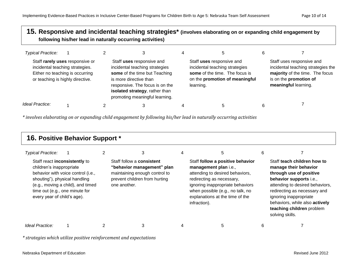#### **15. Responsive and incidental teaching strategies\* (involves elaborating on or expanding child engagement by following his/her lead in naturally occurring activities)**

| <b>Typical Practice:</b>                                                                                                                  |  |                                                                                                                                                                                                                               | b                                                                                                                                            |                                                                                                                                                      |
|-------------------------------------------------------------------------------------------------------------------------------------------|--|-------------------------------------------------------------------------------------------------------------------------------------------------------------------------------------------------------------------------------|----------------------------------------------------------------------------------------------------------------------------------------------|------------------------------------------------------------------------------------------------------------------------------------------------------|
| Staff rarely uses responsive or<br>incidental teaching strategies.<br>Either no teaching is occurring<br>or teaching is highly directive. |  | Staff uses responsive and<br>incidental teaching strategies<br>some of the time but Teaching<br>is more directive than<br>responsive. The focus is on the<br>isolated strategy, rather than<br>promoting meaningful learning. | Staff uses responsive and<br>incidental teaching strategies<br>some of the time. The focus is<br>on the promotion of meaningful<br>learning. | Staff uses responsive and<br>incidental teaching strategies the<br>majority of the time. The focus<br>is on the promotion of<br>meaningful learning. |
| Ideal Practice:                                                                                                                           |  |                                                                                                                                                                                                                               | 5                                                                                                                                            |                                                                                                                                                      |

*\* involves elaborating on or expanding child engagement by following his/her lead in naturally occurring activities*

| 16. Positive Behavior Support *                                                                                           |                                                                                                           |  |                                                                                                                                                  |   |                                                                                                                                                                                                                                                      |   |                                                                                                                                                                                                                                                                                           |
|---------------------------------------------------------------------------------------------------------------------------|-----------------------------------------------------------------------------------------------------------|--|--------------------------------------------------------------------------------------------------------------------------------------------------|---|------------------------------------------------------------------------------------------------------------------------------------------------------------------------------------------------------------------------------------------------------|---|-------------------------------------------------------------------------------------------------------------------------------------------------------------------------------------------------------------------------------------------------------------------------------------------|
| <b>Typical Practice:</b>                                                                                                  |                                                                                                           |  | 3                                                                                                                                                | 4 | 5                                                                                                                                                                                                                                                    | 6 |                                                                                                                                                                                                                                                                                           |
| Staff react inconsistently to<br>children's inappropriate<br>shouting"), physical handling<br>every year of child's age). | behavior with voice control (i.e.,<br>(e.g., moving a child), and timed<br>time out (e.g., one minute for |  | Staff follow a <b>consistent</b><br>"behavior management" plan<br>maintaining enough control to<br>prevent children from hurting<br>one another. |   | Staff follow a positive behavior<br>management plan i.e.,<br>attending to desired behaviors,<br>redirecting as necessary,<br>ignoring inappropriate behaviors<br>when possible (e.g., no talk, no<br>explanations at the time of the<br>infraction). |   | Staff teach children how to<br>manage their behavior<br>through use of positive<br>behavior supports i.e.,<br>attending to desired behaviors,<br>redirecting as necessary and<br>ignoring inappropriate<br>behaviors, while also actively<br>teaching children problem<br>solving skills. |
| Ideal Practice:                                                                                                           |                                                                                                           |  | 3                                                                                                                                                | 4 | 5                                                                                                                                                                                                                                                    | 6 |                                                                                                                                                                                                                                                                                           |

*\* strategies which utilize positive reinforcement and expectations*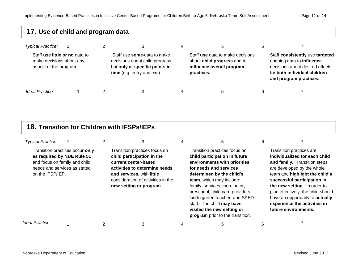| 17. Use of child and program data                                                    |  |  |                                                                                                                                 |   |                                                                                                            |   |                                                                                                                                                           |
|--------------------------------------------------------------------------------------|--|--|---------------------------------------------------------------------------------------------------------------------------------|---|------------------------------------------------------------------------------------------------------------|---|-----------------------------------------------------------------------------------------------------------------------------------------------------------|
| <b>Typical Practice:</b>                                                             |  |  | 3                                                                                                                               | 4 | 5                                                                                                          | 6 |                                                                                                                                                           |
| Staff use little or no data to<br>make decisions about any<br>aspect of the program. |  |  | Staff use some-data to make<br>decisions about child progress,<br>but only at specific points in<br>time (e.g. entry and exit). |   | Staff use data to make decisions<br>about child progress and to<br>influence overall program<br>practices. |   | Staff consistently use targeted<br>ongoing data to influence<br>decisions about desired effects<br>for both individual children<br>and program practices. |
| Ideal Practice:                                                                      |  |  | 3                                                                                                                               | 4 | $\mathbf b$                                                                                                | 6 |                                                                                                                                                           |

#### **18. Transition for Children with IFSPs/IEPs**

| <b>Typical Practice:</b>                                                                                        |                                 | 3                                                                                                                                                                                                                  | 5                                                                                                                                                                                                                                                                                                                                                                                       | 6 |                                                                                                                                                                                                                                                                                                                                                           |
|-----------------------------------------------------------------------------------------------------------------|---------------------------------|--------------------------------------------------------------------------------------------------------------------------------------------------------------------------------------------------------------------|-----------------------------------------------------------------------------------------------------------------------------------------------------------------------------------------------------------------------------------------------------------------------------------------------------------------------------------------------------------------------------------------|---|-----------------------------------------------------------------------------------------------------------------------------------------------------------------------------------------------------------------------------------------------------------------------------------------------------------------------------------------------------------|
| as required by NDE Rule 51<br>and focus on family and child<br>needs and services as stated<br>on the IFSP/IEP. | Transition practices occur only | Transition practices focus on<br>child participation in the<br>current center-based<br>activities to determine needs<br>and services, with little<br>consideration of activities in the<br>new setting or program. | Transition practices focus on<br>child participation in future<br>environments with priorities<br>for needs and services<br>determined by the child's<br>team, which may include:<br>family, services coordinator,<br>preschool, child care providers,<br>kindergarten teacher, and SPED<br>staff. The child may have<br>visited the new setting or<br>program prior to the transition. |   | Transition practices are<br>individualized for each child<br>and family. Transition steps<br>are developed by the whole<br>team and highlight the child's<br>successful participation in<br>the new setting. In order to<br>plan effectively, the child should<br>have an opportunity to actually<br>experience the activities in<br>future environments. |
| Ideal Practice:                                                                                                 |                                 |                                                                                                                                                                                                                    |                                                                                                                                                                                                                                                                                                                                                                                         | 6 |                                                                                                                                                                                                                                                                                                                                                           |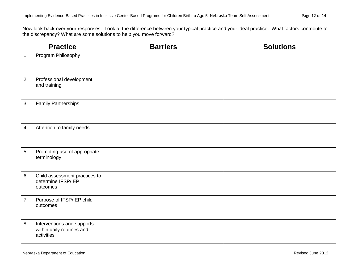Now look back over your responses. Look at the difference between your typical practice and your ideal practice. What factors contribute to the discrepancy? What are some solutions to help you move forward?

|    | <b>Practice</b>                                                       | <b>Barriers</b> | <b>Solutions</b> |
|----|-----------------------------------------------------------------------|-----------------|------------------|
| 1. | Program Philosophy                                                    |                 |                  |
| 2. | Professional development<br>and training                              |                 |                  |
| 3. | <b>Family Partnerships</b>                                            |                 |                  |
| 4. | Attention to family needs                                             |                 |                  |
| 5. | Promoting use of appropriate<br>terminology                           |                 |                  |
| 6. | Child assessment practices to<br>determine IFSP/IEP<br>outcomes       |                 |                  |
| 7. | Purpose of IFSP/IEP child<br>outcomes                                 |                 |                  |
| 8. | Interventions and supports<br>within daily routines and<br>activities |                 |                  |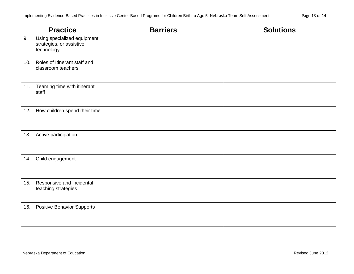|     | <b>Practice</b>                                                        | <b>Barriers</b> | <b>Solutions</b> |
|-----|------------------------------------------------------------------------|-----------------|------------------|
| 9.  | Using specialized equipment,<br>strategies, or assistive<br>technology |                 |                  |
|     | 10. Roles of Itinerant staff and<br>classroom teachers                 |                 |                  |
|     | 11. Teaming time with itinerant<br>staff                               |                 |                  |
|     | 12. How children spend their time                                      |                 |                  |
|     | 13. Active participation                                               |                 |                  |
|     | 14. Child engagement                                                   |                 |                  |
| 15. | Responsive and incidental<br>teaching strategies                       |                 |                  |
| 16. | <b>Positive Behavior Supports</b>                                      |                 |                  |